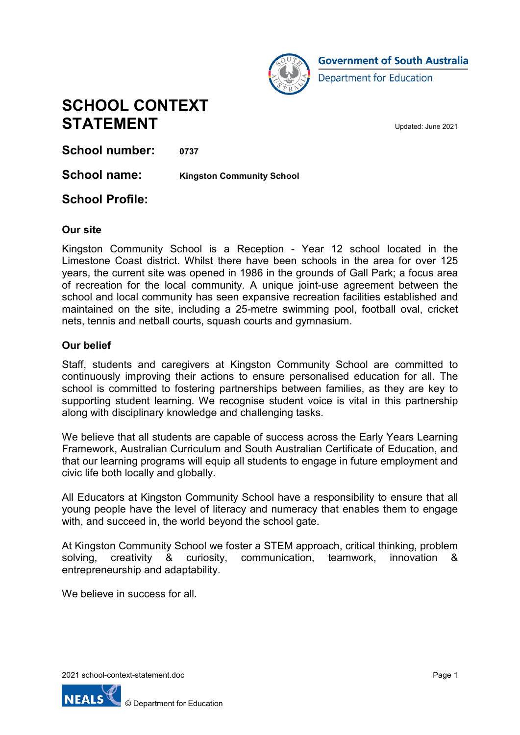

**SCHOOL CONTEXT STATEMENT** Updated: June 2021

**School number: 0737**

**School name: Kingston Community School**

## **School Profile:**

### **Our site**

Kingston Community School is a Reception - Year 12 school located in the Limestone Coast district. Whilst there have been schools in the area for over 125 years, the current site was opened in 1986 in the grounds of Gall Park; a focus area of recreation for the local community. A unique joint-use agreement between the school and local community has seen expansive recreation facilities established and maintained on the site, including a 25-metre swimming pool, football oval, cricket nets, tennis and netball courts, squash courts and gymnasium.

### **Our belief**

Staff, students and caregivers at Kingston Community School are committed to continuously improving their actions to ensure personalised education for all. The school is committed to fostering partnerships between families, as they are key to supporting student learning. We recognise student voice is vital in this partnership along with disciplinary knowledge and challenging tasks.

We believe that all students are capable of success across the Early Years Learning Framework, Australian Curriculum and South Australian Certificate of Education, and that our learning programs will equip all students to engage in future employment and civic life both locally and globally.

All Educators at Kingston Community School have a responsibility to ensure that all young people have the level of literacy and numeracy that enables them to engage with, and succeed in, the world beyond the school gate.

At Kingston Community School we foster a STEM approach, critical thinking, problem solving, creativity & curiosity, communication, teamwork, innovation & entrepreneurship and adaptability.

We believe in success for all.

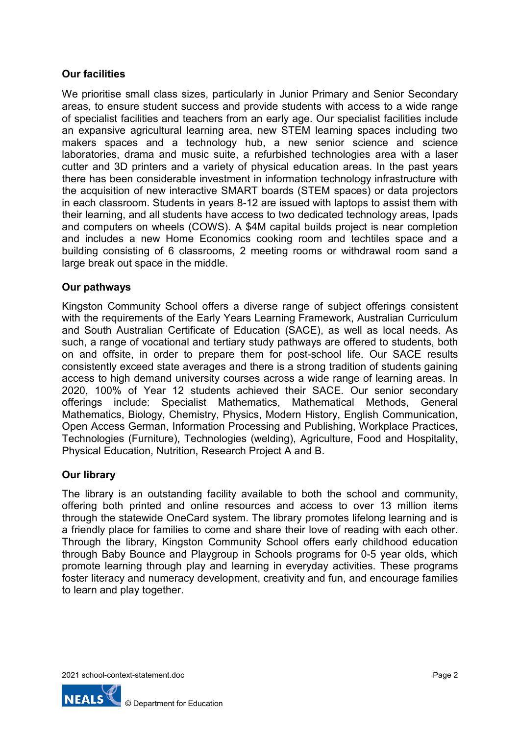### **Our facilities**

We prioritise small class sizes, particularly in Junior Primary and Senior Secondary areas, to ensure student success and provide students with access to a wide range of specialist facilities and teachers from an early age. Our specialist facilities include an expansive agricultural learning area, new STEM learning spaces including two makers spaces and a technology hub, a new senior science and science laboratories, drama and music suite, a refurbished technologies area with a laser cutter and 3D printers and a variety of physical education areas. In the past years there has been considerable investment in information technology infrastructure with the acquisition of new interactive SMART boards (STEM spaces) or data projectors in each classroom. Students in years 8-12 are issued with laptops to assist them with their learning, and all students have access to two dedicated technology areas, Ipads and computers on wheels (COWS). A \$4M capital builds project is near completion and includes a new Home Economics cooking room and techtiles space and a building consisting of 6 classrooms, 2 meeting rooms or withdrawal room sand a large break out space in the middle.

### **Our pathways**

Kingston Community School offers a diverse range of subject offerings consistent with the requirements of the Early Years Learning Framework, Australian Curriculum and South Australian Certificate of Education (SACE), as well as local needs. As such, a range of vocational and tertiary study pathways are offered to students, both on and offsite, in order to prepare them for post-school life. Our SACE results consistently exceed state averages and there is a strong tradition of students gaining access to high demand university courses across a wide range of learning areas. In 2020, 100% of Year 12 students achieved their SACE. Our senior secondary offerings include: Specialist Mathematics, Mathematical Methods, General Mathematics, Biology, Chemistry, Physics, Modern History, English Communication, Open Access German, Information Processing and Publishing, Workplace Practices, Technologies (Furniture), Technologies (welding), Agriculture, Food and Hospitality, Physical Education, Nutrition, Research Project A and B.

### **Our library**

The library is an outstanding facility available to both the school and community, offering both printed and online resources and access to over 13 million items through the statewide OneCard system. The library promotes lifelong learning and is a friendly place for families to come and share their love of reading with each other. Through the library, Kingston Community School offers early childhood education through Baby Bounce and Playgroup in Schools programs for 0-5 year olds, which promote learning through play and learning in everyday activities. These programs foster literacy and numeracy development, creativity and fun, and encourage families to learn and play together.

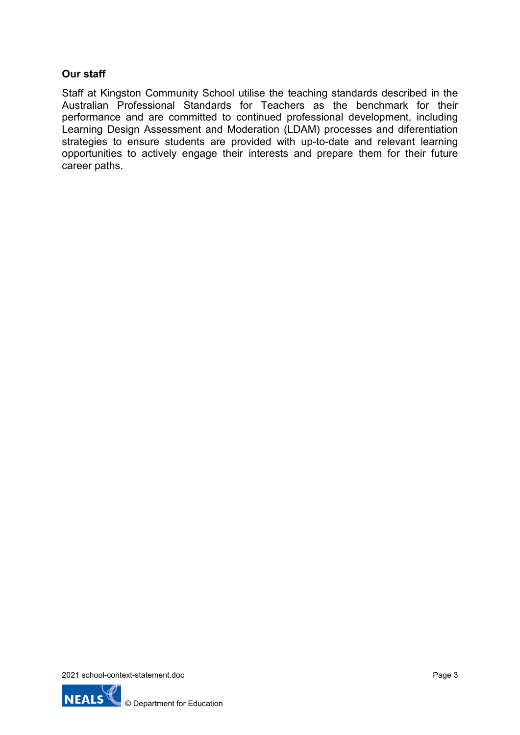### **Our staff**

Staff at Kingston Community School utilise the teaching standards described in the Australian Professional Standards for Teachers as the benchmark for their performance and are committed to continued professional development, including Learning Design Assessment and Moderation (LDAM) processes and diferentiation strategies to ensure students are provided with up-to-date and relevant learning opportunities to actively engage their interests and prepare them for their future career paths.

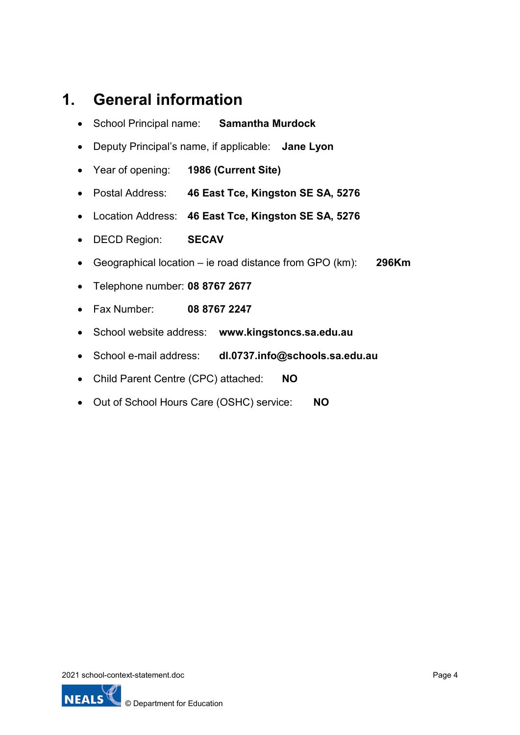# **1. General information**

- School Principal name: **Samantha Murdock**
- Deputy Principal's name, if applicable: **Jane Lyon**
- Year of opening: **1986 (Current Site)**
- Postal Address: **46 East Tce, Kingston SE SA, 5276**
- Location Address: **46 East Tce, Kingston SE SA, 5276**
- DECD Region: **SECAV**
- Geographical location ie road distance from GPO (km): **296Km**
- Telephone number: **08 8767 2677**
- Fax Number: **08 8767 2247**
- School website address: **www.kingstoncs.sa.edu.au**
- School e-mail address: **dl.0737.info@schools.sa.edu.au**
- Child Parent Centre (CPC) attached: **NO**
- Out of School Hours Care (OSHC) service: **NO**

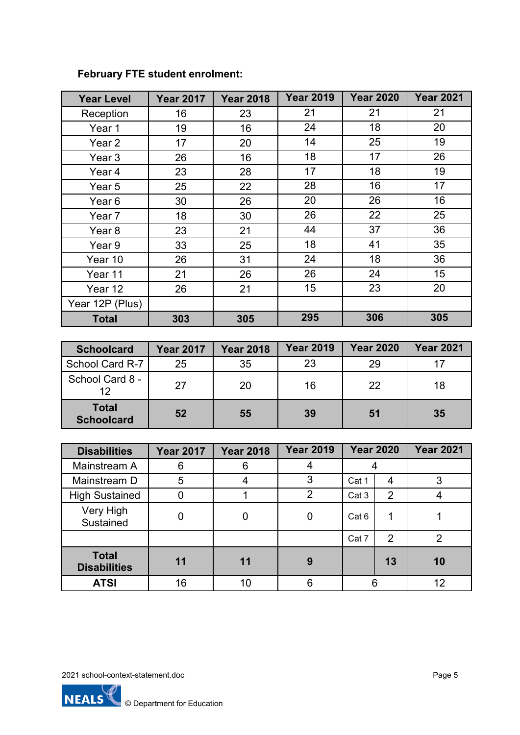| <b>Year Level</b> | <b>Year 2017</b> | <b>Year 2018</b> | <b>Year 2019</b> | <b>Year 2020</b> | <b>Year 2021</b> |
|-------------------|------------------|------------------|------------------|------------------|------------------|
| Reception         | 16               | 23               | 21               | 21               | 21               |
| Year 1            | 19               | 16               | 24               | 18               | 20               |
| Year <sub>2</sub> | 17               | 20               | 14               | 25               | 19               |
| Year 3            | 26               | 16               | 18               | 17               | 26               |
| Year 4            | 23               | 28               | 17               | 18               | 19               |
| Year 5            | 25               | 22               | 28               | 16               | 17               |
| Year <sub>6</sub> | 30               | 26               | 20               | 26               | 16               |
| Year 7            | 18               | 30               | 26               | 22               | 25               |
| Year <sub>8</sub> | 23               | 21               | 44               | 37               | 36               |
| Year 9            | 33               | 25               | 18               | 41               | 35               |
| Year 10           | 26               | 31               | 24               | 18               | 36               |
| Year 11           | 21               | 26               | 26               | 24               | 15               |
| Year 12           | 26               | 21               | 15               | 23               | 20               |
| Year 12P (Plus)   |                  |                  |                  |                  |                  |
| <b>Total</b>      | 303              | 305              | 295              | 306              | 305              |

## **February FTE student enrolment:**

| <b>Schoolcard</b>                 | <b>Year 2017</b> | <b>Year 2018</b> | <b>Year 2019</b> | <b>Year 2020</b> | <b>Year 2021</b> |
|-----------------------------------|------------------|------------------|------------------|------------------|------------------|
| School Card R-7                   | 25               | 35               | 23               | 29               |                  |
| School Card 8 -<br>12             | 27               | 20               | 16               | 22               | 18               |
| <b>Total</b><br><b>Schoolcard</b> | 52               | 55               | 39               | 51               | 35               |

| <b>Disabilities</b>                 | <b>Year 2017</b> | <b>Year 2018</b> | <b>Year 2019</b> |       | <b>Year 2020</b> | <b>Year 2021</b> |
|-------------------------------------|------------------|------------------|------------------|-------|------------------|------------------|
| Mainstream A                        | 6                | 6                |                  |       |                  |                  |
| Mainstream D                        | 5                |                  | 3                | Cat 1 | 4                | 3                |
| <b>High Sustained</b>               |                  |                  | າ                | Cat 3 | $\overline{2}$   |                  |
| Very High<br>Sustained              |                  |                  |                  | Cat 6 |                  |                  |
|                                     |                  |                  |                  | Cat 7 | $\overline{2}$   | າ                |
| <b>Total</b><br><b>Disabilities</b> | 11               | 11               | 9                |       | 13               | 10               |
| <b>ATSI</b>                         | 16               | 10               |                  |       |                  | 12               |

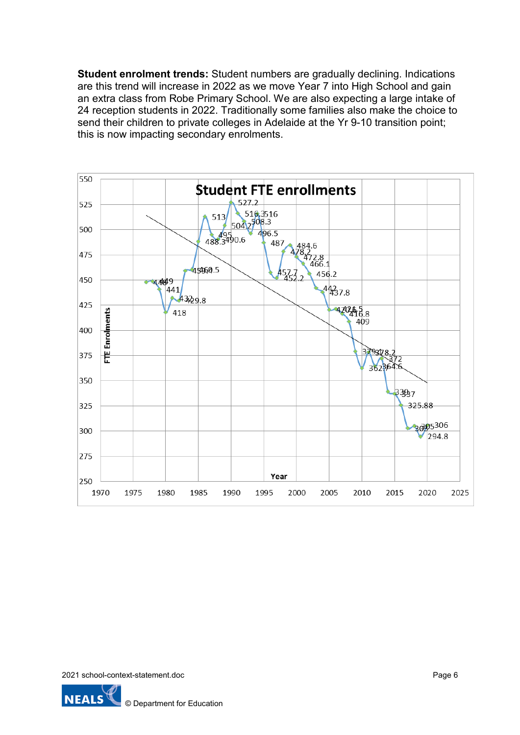**Student enrolment trends:** Student numbers are gradually declining. Indications are this trend will increase in 2022 as we move Year 7 into High School and gain an extra class from Robe Primary School. We are also expecting a large intake of 24 reception students in 2022. Traditionally some families also make the choice to send their children to private colleges in Adelaide at the Yr 9-10 transition point; this is now impacting secondary enrolments.



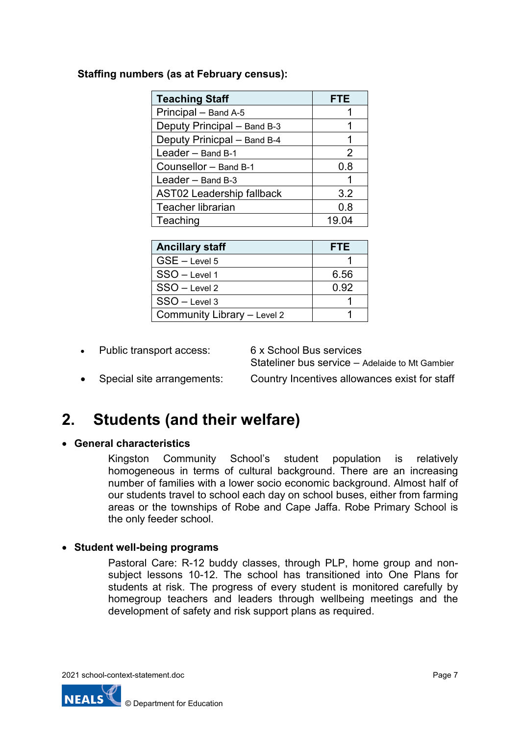### **Staffing numbers (as at February census):**

| <b>Teaching Staff</b>            | <b>FTE</b>    |
|----------------------------------|---------------|
| Principal - Band A-5             |               |
| Deputy Principal - Band B-3      |               |
| Deputy Prinicpal - Band B-4      | 1             |
| Leader - Band B-1                | $\mathcal{P}$ |
| Counsellor - Band B-1            | 0.8           |
| Leader - Band B-3                |               |
| <b>AST02 Leadership fallback</b> | 3.2           |
| <b>Teacher librarian</b>         | 0.8           |
| Teaching                         | 19.04         |

| <b>Ancillary staff</b>      | <b>FTE</b> |
|-----------------------------|------------|
| $GSE - Level 5$             |            |
| SSO - Level 1               | 6.56       |
| SSO - Level 2               | 0.92       |
| $SSO - Level 3$             |            |
| Community Library - Level 2 |            |

• Public transport access: 6 x School Bus services

Stateliner bus service – Adelaide to Mt Gambier

• Special site arrangements: Country Incentives allowances exist for staff

**2. Students (and their welfare)**

### • **General characteristics**

Kingston Community School's student population is relatively homogeneous in terms of cultural background. There are an increasing number of families with a lower socio economic background. Almost half of our students travel to school each day on school buses, either from farming areas or the townships of Robe and Cape Jaffa. Robe Primary School is the only feeder school.

### • **Student well-being programs**

Pastoral Care: R-12 buddy classes, through PLP, home group and nonsubject lessons 10-12. The school has transitioned into One Plans for students at risk. The progress of every student is monitored carefully by homegroup teachers and leaders through wellbeing meetings and the development of safety and risk support plans as required.

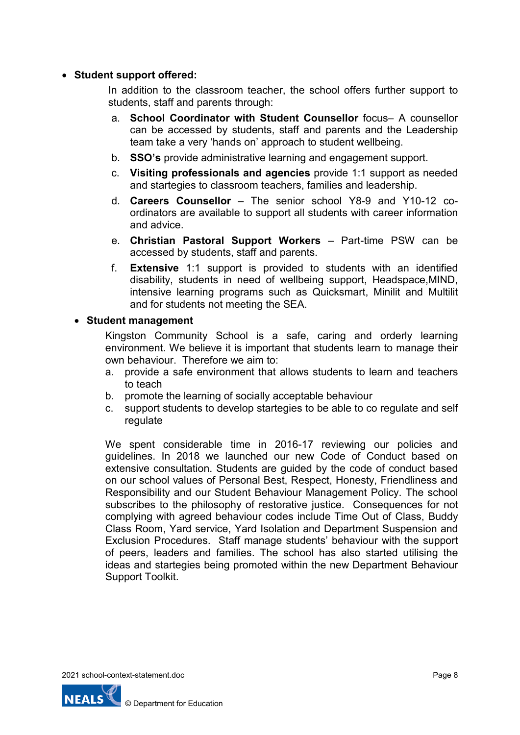### • **Student support offered:**

In addition to the classroom teacher, the school offers further support to students, staff and parents through:

- a. **School Coordinator with Student Counsellor** focus– A counsellor can be accessed by students, staff and parents and the Leadership team take a very 'hands on' approach to student wellbeing.
- b. **SSO's** provide administrative learning and engagement support.
- c. **Visiting professionals and agencies** provide 1:1 support as needed and startegies to classroom teachers, families and leadership.
- d. **Careers Counsellor** The senior school Y8-9 and Y10-12 coordinators are available to support all students with career information and advice.
- e. **Christian Pastoral Support Workers** Part-time PSW can be accessed by students, staff and parents.
- f. **Extensive** 1:1 support is provided to students with an identified disability, students in need of wellbeing support, Headspace,MIND, intensive learning programs such as Quicksmart, Minilit and Multilit and for students not meeting the SEA.

#### • **Student management**

Kingston Community School is a safe, caring and orderly learning environment. We believe it is important that students learn to manage their own behaviour. Therefore we aim to:

- a. provide a safe environment that allows students to learn and teachers to teach
- b. promote the learning of socially acceptable behaviour
- c. support students to develop startegies to be able to co regulate and self regulate

We spent considerable time in 2016-17 reviewing our policies and guidelines. In 2018 we launched our new Code of Conduct based on extensive consultation. Students are guided by the code of conduct based on our school values of Personal Best, Respect, Honesty, Friendliness and Responsibility and our Student Behaviour Management Policy. The school subscribes to the philosophy of restorative justice. Consequences for not complying with agreed behaviour codes include Time Out of Class, Buddy Class Room, Yard service, Yard Isolation and Department Suspension and Exclusion Procedures. Staff manage students' behaviour with the support of peers, leaders and families. The school has also started utilising the ideas and startegies being promoted within the new Department Behaviour Support Toolkit.

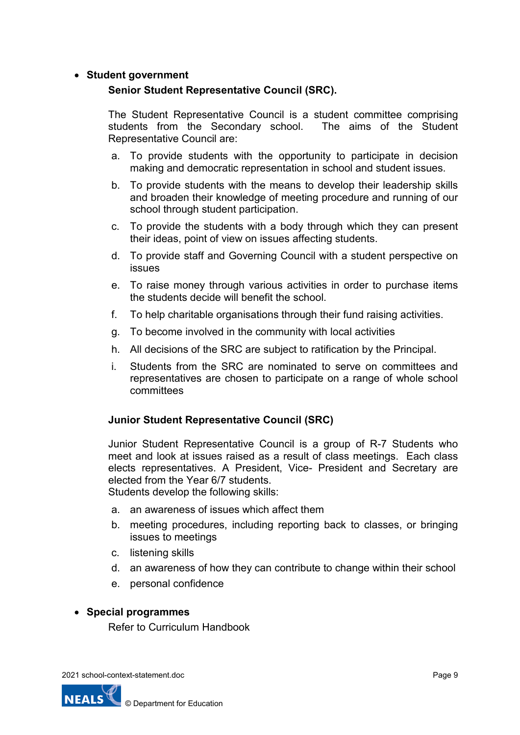### • **Student government**

### **Senior Student Representative Council (SRC).**

The Student Representative Council is a student committee comprising students from the Secondary school. The aims of the Student Representative Council are:

- a. To provide students with the opportunity to participate in decision making and democratic representation in school and student issues.
- b. To provide students with the means to develop their leadership skills and broaden their knowledge of meeting procedure and running of our school through student participation.
- c. To provide the students with a body through which they can present their ideas, point of view on issues affecting students.
- d. To provide staff and Governing Council with a student perspective on issues
- e. To raise money through various activities in order to purchase items the students decide will benefit the school.
- f. To help charitable organisations through their fund raising activities.
- g. To become involved in the community with local activities
- h. All decisions of the SRC are subject to ratification by the Principal.
- i. Students from the SRC are nominated to serve on committees and representatives are chosen to participate on a range of whole school committees

### **Junior Student Representative Council (SRC)**

Junior Student Representative Council is a group of R-7 Students who meet and look at issues raised as a result of class meetings. Each class elects representatives. A President, Vice- President and Secretary are elected from the Year 6/7 students. Students develop the following skills:

- a. an awareness of issues which affect them
- b. meeting procedures, including reporting back to classes, or bringing issues to meetings
- c. listening skills
- d. an awareness of how they can contribute to change within their school
- e. personal confidence

#### • **Special programmes**

Refer to Curriculum Handbook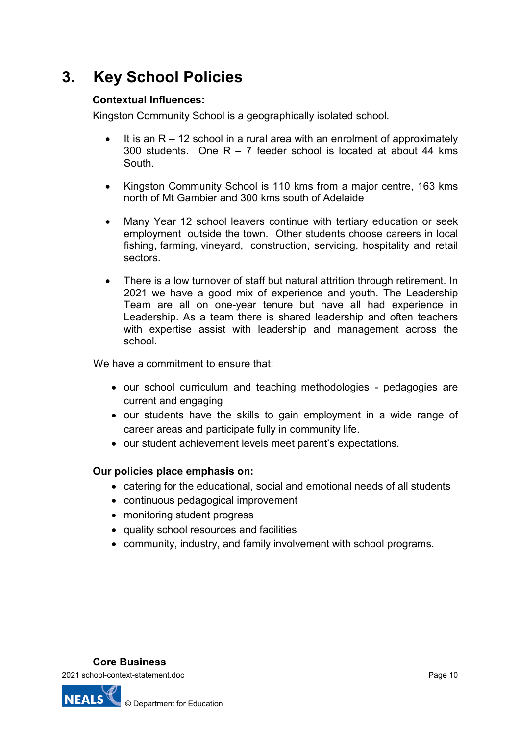# **3. Key School Policies**

### **Contextual Influences:**

Kingston Community School is a geographically isolated school.

- $\bullet$  It is an R 12 school in a rural area with an enrolment of approximately 300 students. One R – 7 feeder school is located at about 44 kms South.
- Kingston Community School is 110 kms from a major centre, 163 kms north of Mt Gambier and 300 kms south of Adelaide
- Many Year 12 school leavers continue with tertiary education or seek employment outside the town. Other students choose careers in local fishing, farming, vineyard, construction, servicing, hospitality and retail sectors.
- There is a low turnover of staff but natural attrition through retirement. In 2021 we have a good mix of experience and youth. The Leadership Team are all on one-year tenure but have all had experience in Leadership. As a team there is shared leadership and often teachers with expertise assist with leadership and management across the school.

We have a commitment to ensure that:

- our school curriculum and teaching methodologies pedagogies are current and engaging
- our students have the skills to gain employment in a wide range of career areas and participate fully in community life.
- our student achievement levels meet parent's expectations.

### **Our policies place emphasis on:**

- catering for the educational, social and emotional needs of all students
- continuous pedagogical improvement
- monitoring student progress
- quality school resources and facilities
- community, industry, and family involvement with school programs.

### **Core Business**

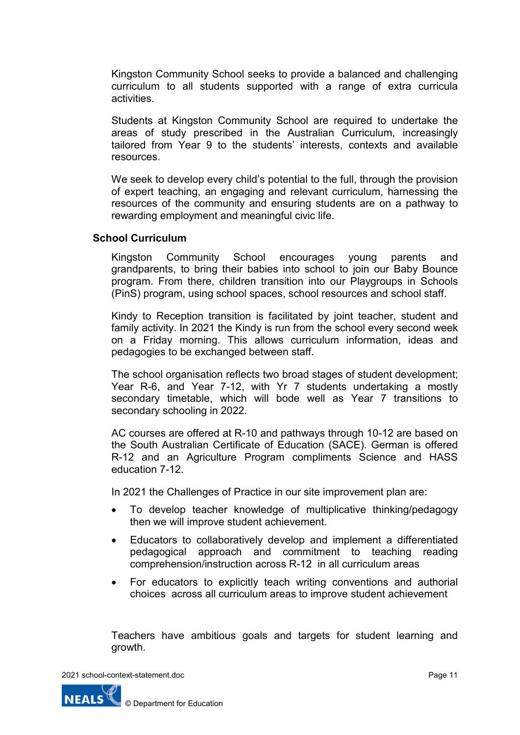Kingston Community School seeks to provide a balanced and challenging curriculum to all students supported with a range of extra curricula activities.

Students at Kingston Community School are required to undertake the areas of study prescribed in the Australian Curriculum, increasingly tailored from Year 9 to the students' interests, contexts and available resources.

We seek to develop every child's potential to the full, through the provision of expert teaching, an engaging and relevant curriculum, harnessing the resources of the community and ensuring students are on a pathway to rewarding employment and meaningful civic life.

### **School Curriculum**

Kingston Community School encourages young parents and grandparents, to bring their babies into school to join our Baby Bounce program. From there, children transition into our Playgroups in Schools (PinS) program, using school spaces, school resources and school staff.

Kindy to Reception transition is facilitated by joint teacher, student and family activity. In 2021 the Kindy is run from the school every second week on a Friday morning. This allows curriculum information, ideas and pedagogies to be exchanged between staff.

The school organisation reflects two broad stages of student development; Year R-6, and Year 7-12, with Yr 7 students undertaking a mostly secondary timetable, which will bode well as Year 7 transitions to secondary schooling in 2022.

AC courses are offered at R-10 and pathways through 10-12 are based on the South Australian Certificate of Education (SACE). German is offered R-12 and an Agriculture Program compliments Science and HASS education 7-12.

In 2021 the Challenges of Practice in our site improvement plan are:

- To develop teacher knowledge of multiplicative thinking/pedagogy then we will improve student achievement.
- Educators to collaboratively develop and implement a differentiated pedagogical approach and commitment to teaching reading comprehension/instruction across R-12 in all curriculum areas
- For educators to explicitly teach writing conventions and authorial choices across all curriculum areas to improve student achievement

Teachers have ambitious goals and targets for student learning and growth.



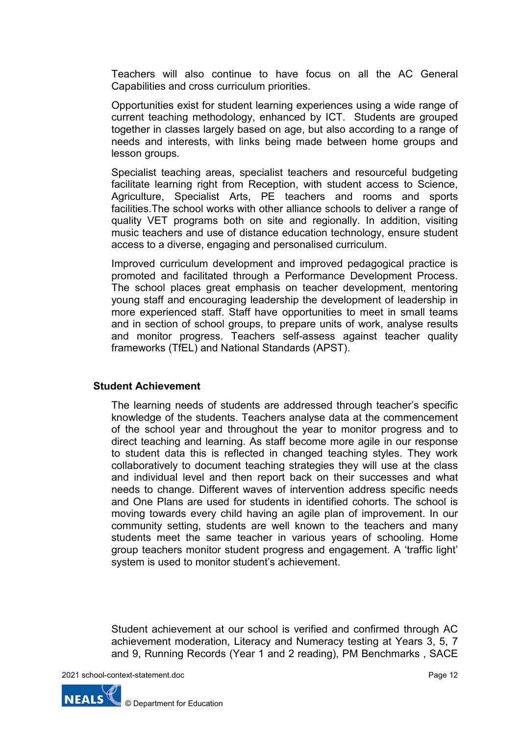Teachers will also continue to have focus on all the AC General Capabilities and cross curriculum priorities.

Opportunities exist for student learning experiences using a wide range of current teaching methodology, enhanced by ICT. Students are grouped together in classes largely based on age, but also according to a range of needs and interests, with links being made between home groups and lesson groups.

Specialist teaching areas, specialist teachers and resourceful budgeting facilitate learning right from Reception, with student access to Science, Agriculture, Specialist Arts, PE teachers and rooms and sports facilities.The school works with other alliance schools to deliver a range of quality VET programs both on site and regionally. In addition, visiting music teachers and use of distance education technology, ensure student access to a diverse, engaging and personalised curriculum.

Improved curriculum development and improved pedagogical practice is promoted and facilitated through a Performance Development Process. The school places great emphasis on teacher development, mentoring young staff and encouraging leadership the development of leadership in more experienced staff. Staff have opportunities to meet in small teams and in section of school groups, to prepare units of work, analyse results and monitor progress. Teachers self-assess against teacher quality frameworks (TfEL) and National Standards (APST).

#### **Student Achievement**

The learning needs of students are addressed through teacher's specific knowledge of the students. Teachers analyse data at the commencement of the school year and throughout the year to monitor progress and to direct teaching and learning. As staff become more agile in our response to student data this is reflected in changed teaching styles. They work collaboratively to document teaching strategies they will use at the class and individual level and then report back on their successes and what needs to change. Different waves of intervention address specific needs and One Plans are used for students in identified cohorts. The school is moving towards every child having an agile plan of improvement. In our community setting, students are well known to the teachers and many students meet the same teacher in various years of schooling. Home group teachers monitor student progress and engagement. A 'traffic light' system is used to monitor student's achievement.

Student achievement at our school is verified and confirmed through AC achievement moderation, Literacy and Numeracy testing at Years 3, 5, 7 and 9, Running Records (Year 1 and 2 reading), PM Benchmarks , SACE

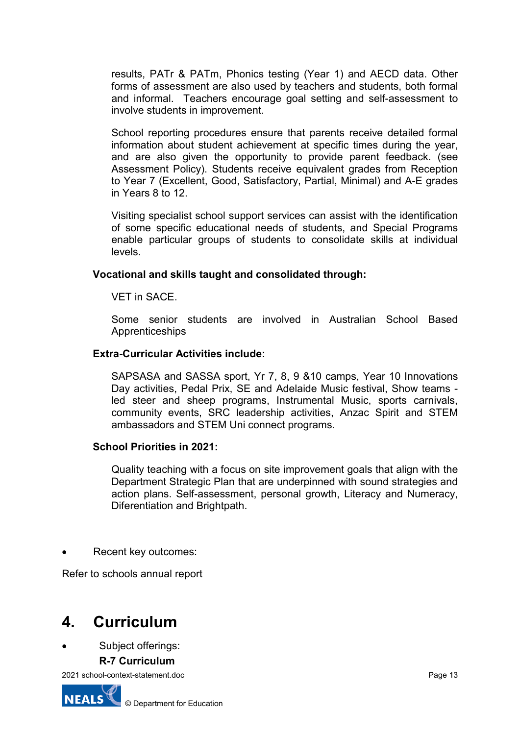results, PATr & PATm, Phonics testing (Year 1) and AECD data. Other forms of assessment are also used by teachers and students, both formal and informal. Teachers encourage goal setting and self-assessment to involve students in improvement.

School reporting procedures ensure that parents receive detailed formal information about student achievement at specific times during the year, and are also given the opportunity to provide parent feedback. (see Assessment Policy). Students receive equivalent grades from Reception to Year 7 (Excellent, Good, Satisfactory, Partial, Minimal) and A-E grades in Years 8 to 12.

Visiting specialist school support services can assist with the identification of some specific educational needs of students, and Special Programs enable particular groups of students to consolidate skills at individual levels.

### **Vocational and skills taught and consolidated through:**

VET in SACE.

Some senior students are involved in Australian School Based Apprenticeships

### **Extra-Curricular Activities include:**

SAPSASA and SASSA sport, Yr 7, 8, 9 &10 camps, Year 10 Innovations Day activities, Pedal Prix, SE and Adelaide Music festival, Show teams led steer and sheep programs, Instrumental Music, sports carnivals, community events, SRC leadership activities, Anzac Spirit and STEM ambassadors and STEM Uni connect programs.

#### **School Priorities in 2021:**

Quality teaching with a focus on site improvement goals that align with the Department Strategic Plan that are underpinned with sound strategies and action plans. Self-assessment, personal growth, Literacy and Numeracy, Diferentiation and Brightpath.

Recent key outcomes:

Refer to schools annual report

## **4. Curriculum**

Subject offerings:

#### **R-7 Curriculum**

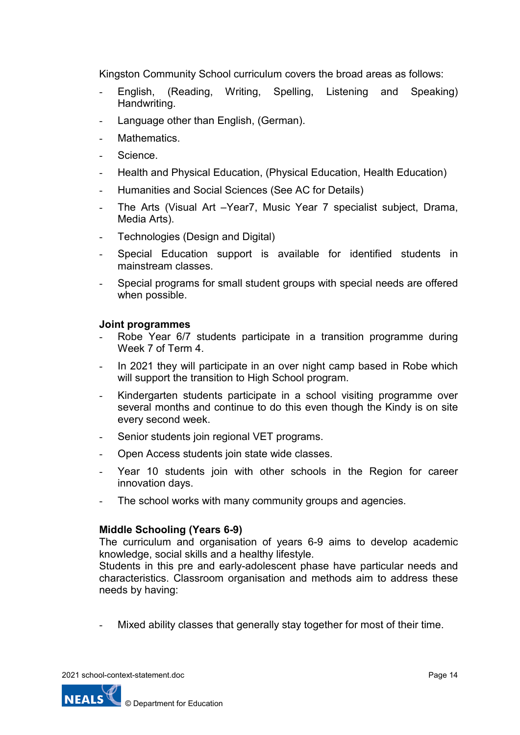Kingston Community School curriculum covers the broad areas as follows:

- English, (Reading, Writing, Spelling, Listening and Speaking) Handwriting.
- Language other than English, (German).
- Mathematics.
- Science.
- Health and Physical Education, (Physical Education, Health Education)
- Humanities and Social Sciences (See AC for Details)
- The Arts (Visual Art –Year7, Music Year 7 specialist subject, Drama, Media Arts).
- Technologies (Design and Digital)
- Special Education support is available for identified students in mainstream classes.
- Special programs for small student groups with special needs are offered when possible.

### **Joint programmes**

- Robe Year 6/7 students participate in a transition programme during Week 7 of Term 4.
- In 2021 they will participate in an over night camp based in Robe which will support the transition to High School program.
- Kindergarten students participate in a school visiting programme over several months and continue to do this even though the Kindy is on site every second week.
- Senior students join regional VET programs.
- Open Access students join state wide classes.
- Year 10 students join with other schools in the Region for career innovation days.
- The school works with many community groups and agencies.

### **Middle Schooling (Years 6-9)**

The curriculum and organisation of years 6-9 aims to develop academic knowledge, social skills and a healthy lifestyle.

Students in this pre and early-adolescent phase have particular needs and characteristics. Classroom organisation and methods aim to address these needs by having:

Mixed ability classes that generally stay together for most of their time.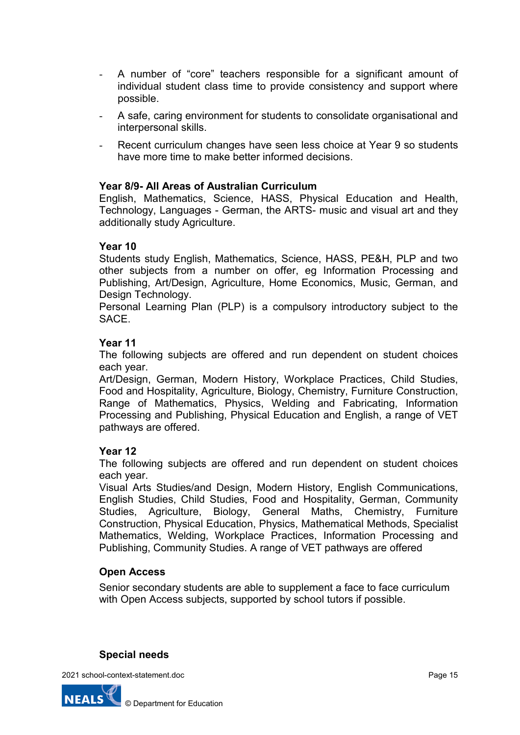- A number of "core" teachers responsible for a significant amount of individual student class time to provide consistency and support where possible.
- A safe, caring environment for students to consolidate organisational and interpersonal skills.
- Recent curriculum changes have seen less choice at Year 9 so students have more time to make better informed decisions.

### **Year 8/9- All Areas of Australian Curriculum**

English, Mathematics, Science, HASS, Physical Education and Health, Technology, Languages - German, the ARTS- music and visual art and they additionally study Agriculture.

### **Year 10**

Students study English, Mathematics, Science, HASS, PE&H, PLP and two other subjects from a number on offer, eg Information Processing and Publishing, Art/Design, Agriculture, Home Economics, Music, German, and Design Technology.

Personal Learning Plan (PLP) is a compulsory introductory subject to the SACE.

### **Year 11**

The following subjects are offered and run dependent on student choices each year.

Art/Design, German, Modern History, Workplace Practices, Child Studies, Food and Hospitality, Agriculture, Biology, Chemistry, Furniture Construction, Range of Mathematics, Physics, Welding and Fabricating, Information Processing and Publishing, Physical Education and English, a range of VET pathways are offered.

## **Year 12**

The following subjects are offered and run dependent on student choices each year.

Visual Arts Studies/and Design, Modern History, English Communications, English Studies, Child Studies, Food and Hospitality, German, Community Studies, Agriculture, Biology, General Maths, Chemistry, Furniture Construction, Physical Education, Physics, Mathematical Methods, Specialist Mathematics, Welding, Workplace Practices, Information Processing and Publishing, Community Studies. A range of VET pathways are offered

## **Open Access**

Senior secondary students are able to supplement a face to face curriculum with Open Access subjects, supported by school tutors if possible.

### **Special needs**

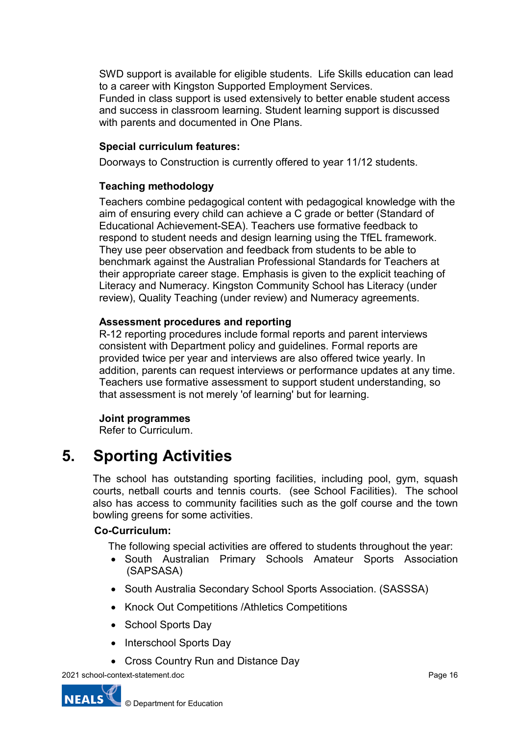SWD support is available for eligible students. Life Skills education can lead to a career with Kingston Supported Employment Services.

Funded in class support is used extensively to better enable student access and success in classroom learning. Student learning support is discussed with parents and documented in One Plans.

### **Special curriculum features:**

Doorways to Construction is currently offered to year 11/12 students.

### **Teaching methodology**

Teachers combine pedagogical content with pedagogical knowledge with the aim of ensuring every child can achieve a C grade or better (Standard of Educational Achievement-SEA). Teachers use formative feedback to respond to student needs and design learning using the TfEL framework. They use peer observation and feedback from students to be able to benchmark against the Australian Professional Standards for Teachers at their appropriate career stage. Emphasis is given to the explicit teaching of Literacy and Numeracy. Kingston Community School has Literacy (under review), Quality Teaching (under review) and Numeracy agreements.

### **Assessment procedures and reporting**

R-12 reporting procedures include formal reports and parent interviews consistent with Department policy and guidelines. Formal reports are provided twice per year and interviews are also offered twice yearly. In addition, parents can request interviews or performance updates at any time. Teachers use formative assessment to support student understanding, so that assessment is not merely 'of learning' but for learning.

### **Joint programmes**

Refer to Curriculum.

# **5. Sporting Activities**

The school has outstanding sporting facilities, including pool, gym, squash courts, netball courts and tennis courts. (see School Facilities). The school also has access to community facilities such as the golf course and the town bowling greens for some activities.

### **Co-Curriculum:**

The following special activities are offered to students throughout the year:

- South Australian Primary Schools Amateur Sports Association (SAPSASA)
- South Australia Secondary School Sports Association. (SASSSA)
- Knock Out Competitions /Athletics Competitions
- School Sports Day
- Interschool Sports Day
- Cross Country Run and Distance Day

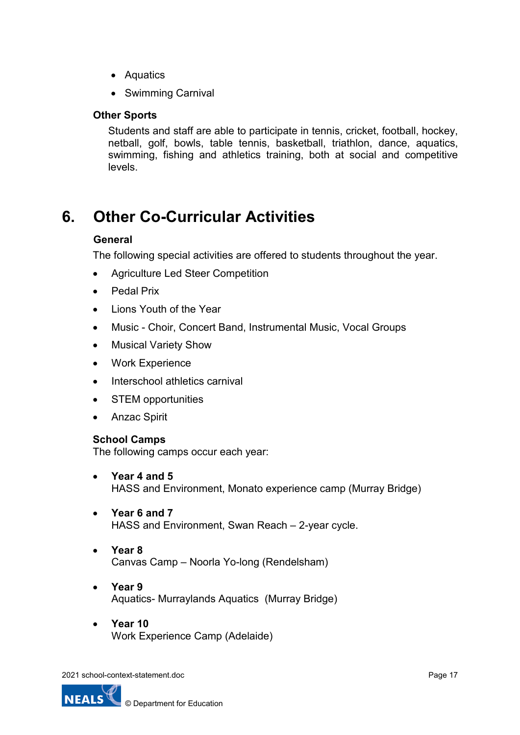- Aquatics
- Swimming Carnival

### **Other Sports**

Students and staff are able to participate in tennis, cricket, football, hockey, netball, golf, bowls, table tennis, basketball, triathlon, dance, aquatics, swimming, fishing and athletics training, both at social and competitive levels.

# **6. Other Co-Curricular Activities**

### **General**

The following special activities are offered to students throughout the year.

- Agriculture Led Steer Competition
- Pedal Prix
- Lions Youth of the Year
- Music Choir, Concert Band, Instrumental Music, Vocal Groups
- Musical Variety Show
- Work Experience
- Interschool athletics carnival
- STEM opportunities
- Anzac Spirit

### **School Camps**

The following camps occur each year:

- **Year 4 and 5** HASS and Environment, Monato experience camp (Murray Bridge)
- **Year 6 and 7** HASS and Environment, Swan Reach – 2-year cycle.
- **Year 8** Canvas Camp – Noorla Yo-long (Rendelsham)
- **Year 9** Aquatics- Murraylands Aquatics (Murray Bridge)
- **Year 10** Work Experience Camp (Adelaide)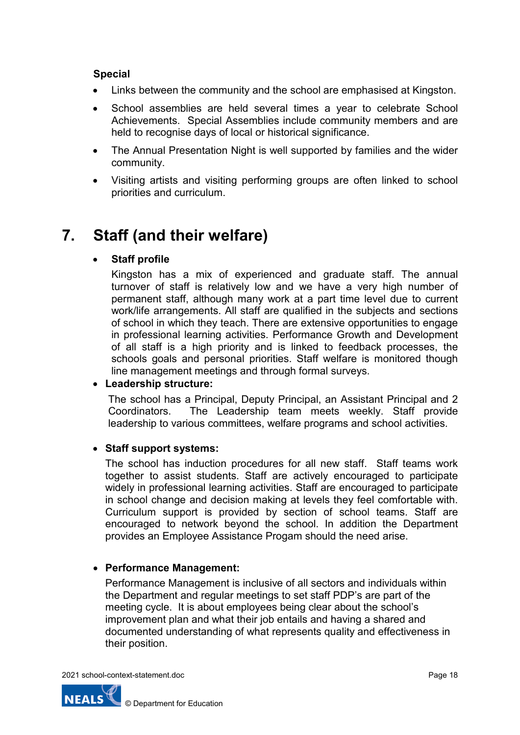### **Special**

- Links between the community and the school are emphasised at Kingston.
- School assemblies are held several times a year to celebrate School Achievements. Special Assemblies include community members and are held to recognise days of local or historical significance.
- The Annual Presentation Night is well supported by families and the wider community.
- Visiting artists and visiting performing groups are often linked to school priorities and curriculum.

## **7. Staff (and their welfare)**

### • **Staff profile**

Kingston has a mix of experienced and graduate staff. The annual turnover of staff is relatively low and we have a very high number of permanent staff, although many work at a part time level due to current work/life arrangements. All staff are qualified in the subjects and sections of school in which they teach. There are extensive opportunities to engage in professional learning activities. Performance Growth and Development of all staff is a high priority and is linked to feedback processes, the schools goals and personal priorities. Staff welfare is monitored though line management meetings and through formal surveys.

### • **Leadership structure:**

The school has a Principal, Deputy Principal, an Assistant Principal and 2 Coordinators. The Leadership team meets weekly. Staff provide leadership to various committees, welfare programs and school activities.

### • **Staff support systems:**

The school has induction procedures for all new staff. Staff teams work together to assist students. Staff are actively encouraged to participate widely in professional learning activities. Staff are encouraged to participate in school change and decision making at levels they feel comfortable with. Curriculum support is provided by section of school teams. Staff are encouraged to network beyond the school. In addition the Department provides an Employee Assistance Progam should the need arise.

### • **Performance Management:**

Performance Management is inclusive of all sectors and individuals within the Department and regular meetings to set staff PDP's are part of the meeting cycle. It is about employees being clear about the school's improvement plan and what their job entails and having a shared and documented understanding of what represents quality and effectiveness in their position.

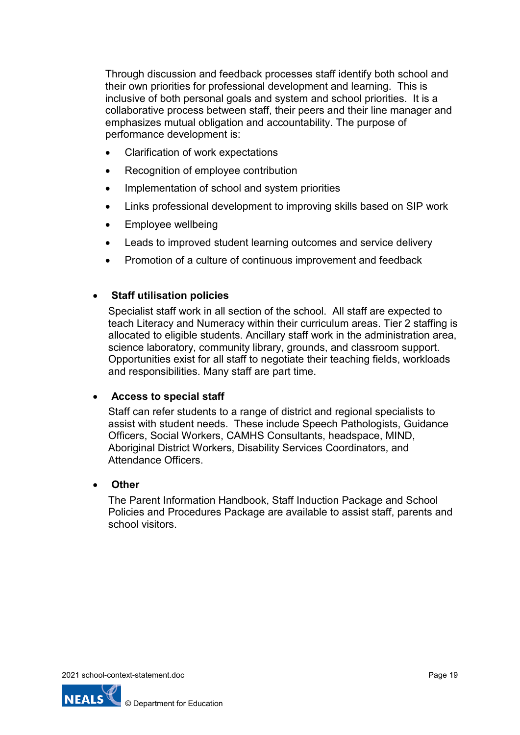Through discussion and feedback processes staff identify both school and their own priorities for professional development and learning. This is inclusive of both personal goals and system and school priorities. It is a collaborative process between staff, their peers and their line manager and emphasizes mutual obligation and accountability. The purpose of performance development is:

- Clarification of work expectations
- Recognition of employee contribution
- Implementation of school and system priorities
- Links professional development to improving skills based on SIP work
- Employee wellbeing
- Leads to improved student learning outcomes and service delivery
- Promotion of a culture of continuous improvement and feedback

### • **Staff utilisation policies**

Specialist staff work in all section of the school. All staff are expected to teach Literacy and Numeracy within their curriculum areas. Tier 2 staffing is allocated to eligible students. Ancillary staff work in the administration area, science laboratory, community library, grounds, and classroom support. Opportunities exist for all staff to negotiate their teaching fields, workloads and responsibilities. Many staff are part time.

### • **Access to special staff**

Staff can refer students to a range of district and regional specialists to assist with student needs. These include Speech Pathologists, Guidance Officers, Social Workers, CAMHS Consultants, headspace, MIND, Aboriginal District Workers, Disability Services Coordinators, and Attendance Officers.

### • **Other**

The Parent Information Handbook, Staff Induction Package and School Policies and Procedures Package are available to assist staff, parents and school visitors.

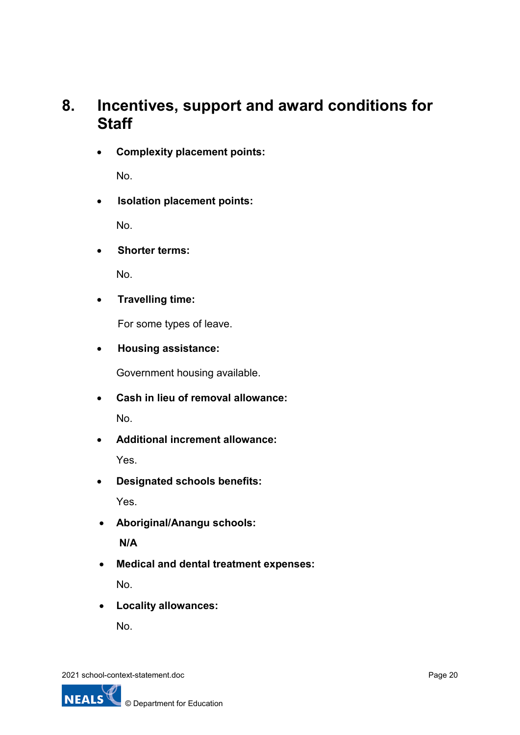## **8. Incentives, support and award conditions for Staff**

• **Complexity placement points:**

No.

• **Isolation placement points:**

No.

• **Shorter terms:**

No.

• **Travelling time:**

For some types of leave.

• **Housing assistance:**

Government housing available.

- **Cash in lieu of removal allowance:** No.
- **Additional increment allowance:** Yes.
- **Designated schools benefits:**

Yes.

- **Aboriginal/Anangu schools: N/A**
- **Medical and dental treatment expenses:** No.
- **Locality allowances:**

No.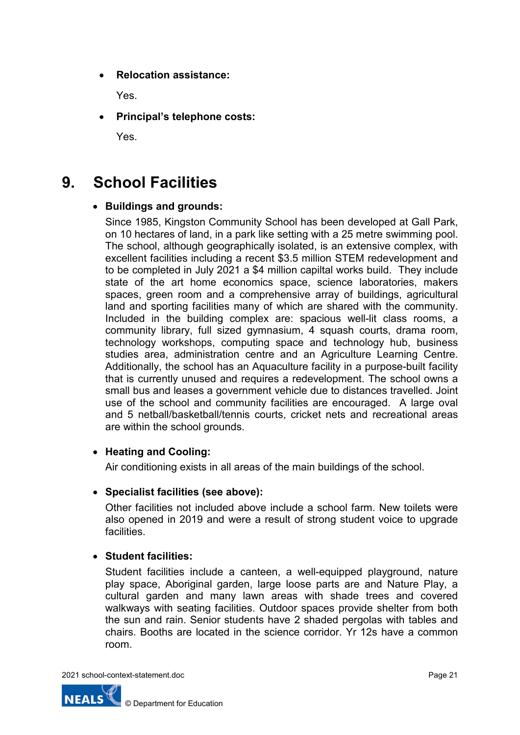• **Relocation assistance:**

Yes.

• **Principal's telephone costs:**

Yes.

# **9. School Facilities**

### • **Buildings and grounds:**

Since 1985, Kingston Community School has been developed at Gall Park, on 10 hectares of land, in a park like setting with a 25 metre swimming pool. The school, although geographically isolated, is an extensive complex, with excellent facilities including a recent \$3.5 million STEM redevelopment and to be completed in July 2021 a \$4 million capiltal works build. They include state of the art home economics space, science laboratories, makers spaces, green room and a comprehensive array of buildings, agricultural land and sporting facilities many of which are shared with the community. Included in the building complex are: spacious well-lit class rooms, a community library, full sized gymnasium, 4 squash courts, drama room, technology workshops, computing space and technology hub, business studies area, administration centre and an Agriculture Learning Centre. Additionally, the school has an Aquaculture facility in a purpose-built facility that is currently unused and requires a redevelopment. The school owns a small bus and leases a government vehicle due to distances travelled. Joint use of the school and community facilities are encouraged. A large oval and 5 netball/basketball/tennis courts, cricket nets and recreational areas are within the school grounds.

### • **Heating and Cooling:**

Air conditioning exists in all areas of the main buildings of the school.

### • **Specialist facilities (see above):**

Other facilities not included above include a school farm. New toilets were also opened in 2019 and were a result of strong student voice to upgrade **facilities** 

## • **Student facilities:**

Student facilities include a canteen, a well-equipped playground, nature play space, Aboriginal garden, large loose parts are and Nature Play, a cultural garden and many lawn areas with shade trees and covered walkways with seating facilities. Outdoor spaces provide shelter from both the sun and rain. Senior students have 2 shaded pergolas with tables and chairs. Booths are located in the science corridor. Yr 12s have a common room.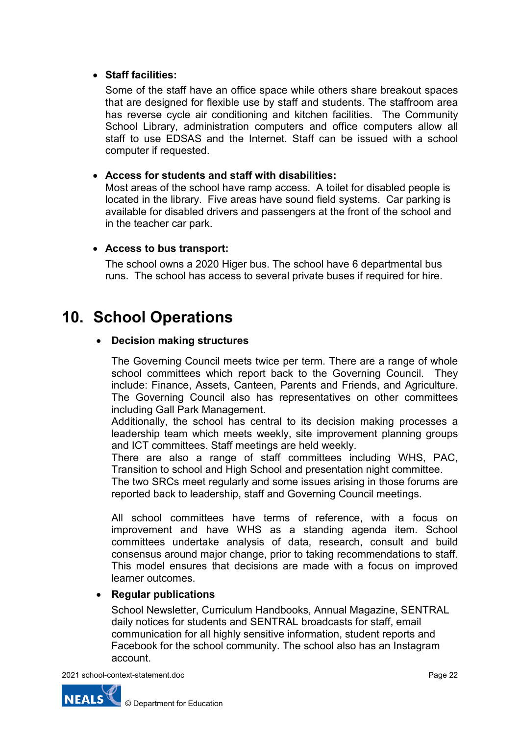### • **Staff facilities:**

Some of the staff have an office space while others share breakout spaces that are designed for flexible use by staff and students. The staffroom area has reverse cycle air conditioning and kitchen facilities. The Community School Library, administration computers and office computers allow all staff to use EDSAS and the Internet. Staff can be issued with a school computer if requested.

### • **Access for students and staff with disabilities:**

Most areas of the school have ramp access. A toilet for disabled people is located in the library. Five areas have sound field systems. Car parking is available for disabled drivers and passengers at the front of the school and in the teacher car park.

### • **Access to bus transport:**

The school owns a 2020 Higer bus. The school have 6 departmental bus runs. The school has access to several private buses if required for hire.

## **10. School Operations**

### • **Decision making structures**

The Governing Council meets twice per term. There are a range of whole school committees which report back to the Governing Council. They include: Finance, Assets, Canteen, Parents and Friends, and Agriculture. The Governing Council also has representatives on other committees including Gall Park Management.

Additionally, the school has central to its decision making processes a leadership team which meets weekly, site improvement planning groups and ICT committees. Staff meetings are held weekly.

There are also a range of staff committees including WHS, PAC, Transition to school and High School and presentation night committee.

The two SRCs meet regularly and some issues arising in those forums are reported back to leadership, staff and Governing Council meetings.

All school committees have terms of reference, with a focus on improvement and have WHS as a standing agenda item. School committees undertake analysis of data, research, consult and build consensus around major change, prior to taking recommendations to staff. This model ensures that decisions are made with a focus on improved learner outcomes.

### • **Regular publications**

School Newsletter, Curriculum Handbooks, Annual Magazine, SENTRAL daily notices for students and SENTRAL broadcasts for staff, email communication for all highly sensitive information, student reports and Facebook for the school community. The school also has an Instagram account.

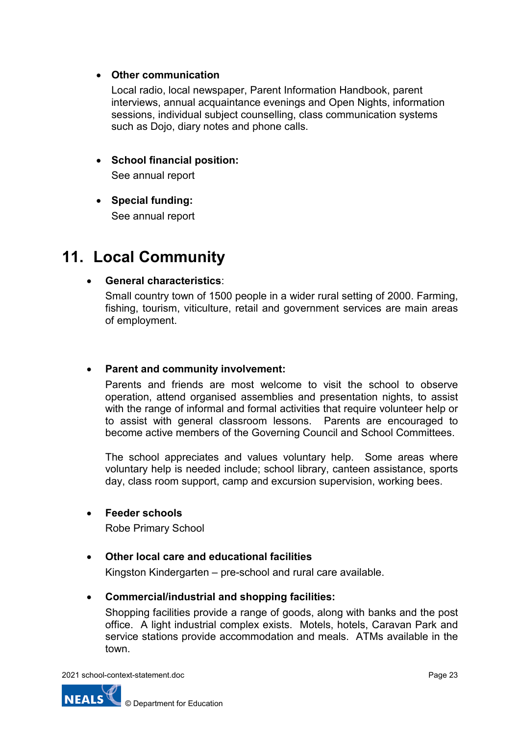### • **Other communication**

Local radio, local newspaper, Parent Information Handbook, parent interviews, annual acquaintance evenings and Open Nights, information sessions, individual subject counselling, class communication systems such as Dojo, diary notes and phone calls.

## • **School financial position:**

See annual report

• **Special funding:** See annual report

## **11. Local Community**

## • **General characteristics**:

Small country town of 1500 people in a wider rural setting of 2000. Farming, fishing, tourism, viticulture, retail and government services are main areas of employment.

### • **Parent and community involvement:**

Parents and friends are most welcome to visit the school to observe operation, attend organised assemblies and presentation nights, to assist with the range of informal and formal activities that require volunteer help or to assist with general classroom lessons. Parents are encouraged to become active members of the Governing Council and School Committees.

The school appreciates and values voluntary help. Some areas where voluntary help is needed include; school library, canteen assistance, sports day, class room support, camp and excursion supervision, working bees.

### • **Feeder schools**

Robe Primary School

## • **Other local care and educational facilities**

Kingston Kindergarten – pre-school and rural care available.

### • **Commercial/industrial and shopping facilities:**

Shopping facilities provide a range of goods, along with banks and the post office. A light industrial complex exists. Motels, hotels, Caravan Park and service stations provide accommodation and meals. ATMs available in the town.